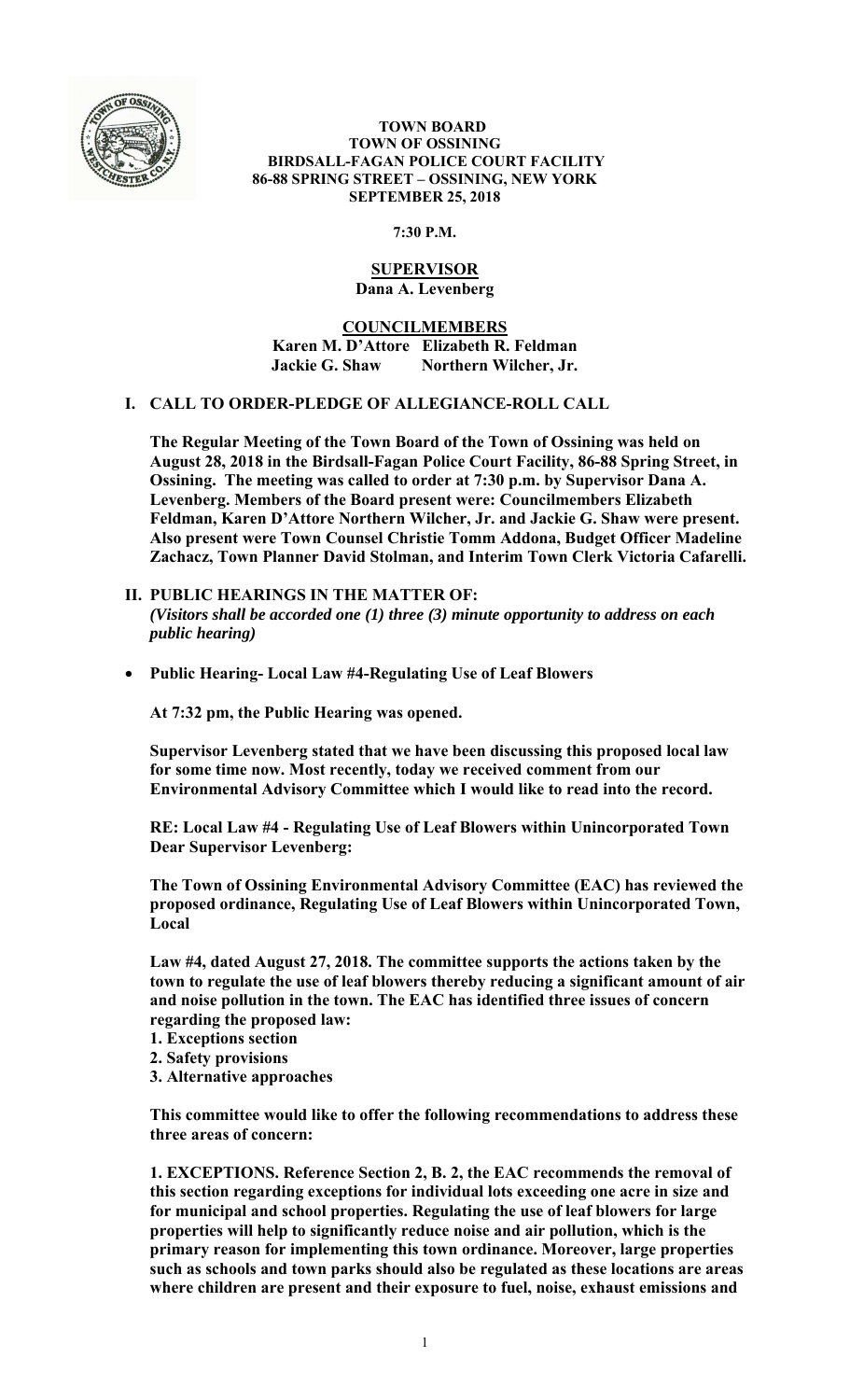

#### **TOWN BOARD TOWN OF OSSINING BIRDSALL-FAGAN POLICE COURT FACILITY 86-88 SPRING STREET – OSSINING, NEW YORK SEPTEMBER 25, 2018**

**7:30 P.M.** 

# **SUPERVISOR Dana A. Levenberg**

**COUNCILMEMBERS Karen M. D'Attore Elizabeth R. Feldman Jackie G. Shaw Northern Wilcher, Jr.** 

# **I. CALL TO ORDER-PLEDGE OF ALLEGIANCE-ROLL CALL**

**The Regular Meeting of the Town Board of the Town of Ossining was held on August 28, 2018 in the Birdsall-Fagan Police Court Facility, 86-88 Spring Street, in Ossining. The meeting was called to order at 7:30 p.m. by Supervisor Dana A. Levenberg. Members of the Board present were: Councilmembers Elizabeth Feldman, Karen D'Attore Northern Wilcher, Jr. and Jackie G. Shaw were present. Also present were Town Counsel Christie Tomm Addona, Budget Officer Madeline Zachacz, Town Planner David Stolman, and Interim Town Clerk Victoria Cafarelli.** 

- **II. PUBLIC HEARINGS IN THE MATTER OF:**  *(Visitors shall be accorded one (1) three (3) minute opportunity to address on each public hearing)*
- **Public Hearing- Local Law #4-Regulating Use of Leaf Blowers**

**At 7:32 pm, the Public Hearing was opened.** 

**Supervisor Levenberg stated that we have been discussing this proposed local law for some time now. Most recently, today we received comment from our Environmental Advisory Committee which I would like to read into the record.** 

**RE: Local Law #4 - Regulating Use of Leaf Blowers within Unincorporated Town Dear Supervisor Levenberg:** 

**The Town of Ossining Environmental Advisory Committee (EAC) has reviewed the proposed ordinance, Regulating Use of Leaf Blowers within Unincorporated Town, Local** 

**Law #4, dated August 27, 2018. The committee supports the actions taken by the town to regulate the use of leaf blowers thereby reducing a significant amount of air and noise pollution in the town. The EAC has identified three issues of concern regarding the proposed law:** 

- **1. Exceptions section**
- **2. Safety provisions**
- **3. Alternative approaches**

**This committee would like to offer the following recommendations to address these three areas of concern:** 

**1. EXCEPTIONS. Reference Section 2, B. 2, the EAC recommends the removal of this section regarding exceptions for individual lots exceeding one acre in size and for municipal and school properties. Regulating the use of leaf blowers for large properties will help to significantly reduce noise and air pollution, which is the primary reason for implementing this town ordinance. Moreover, large properties such as schools and town parks should also be regulated as these locations are areas where children are present and their exposure to fuel, noise, exhaust emissions and**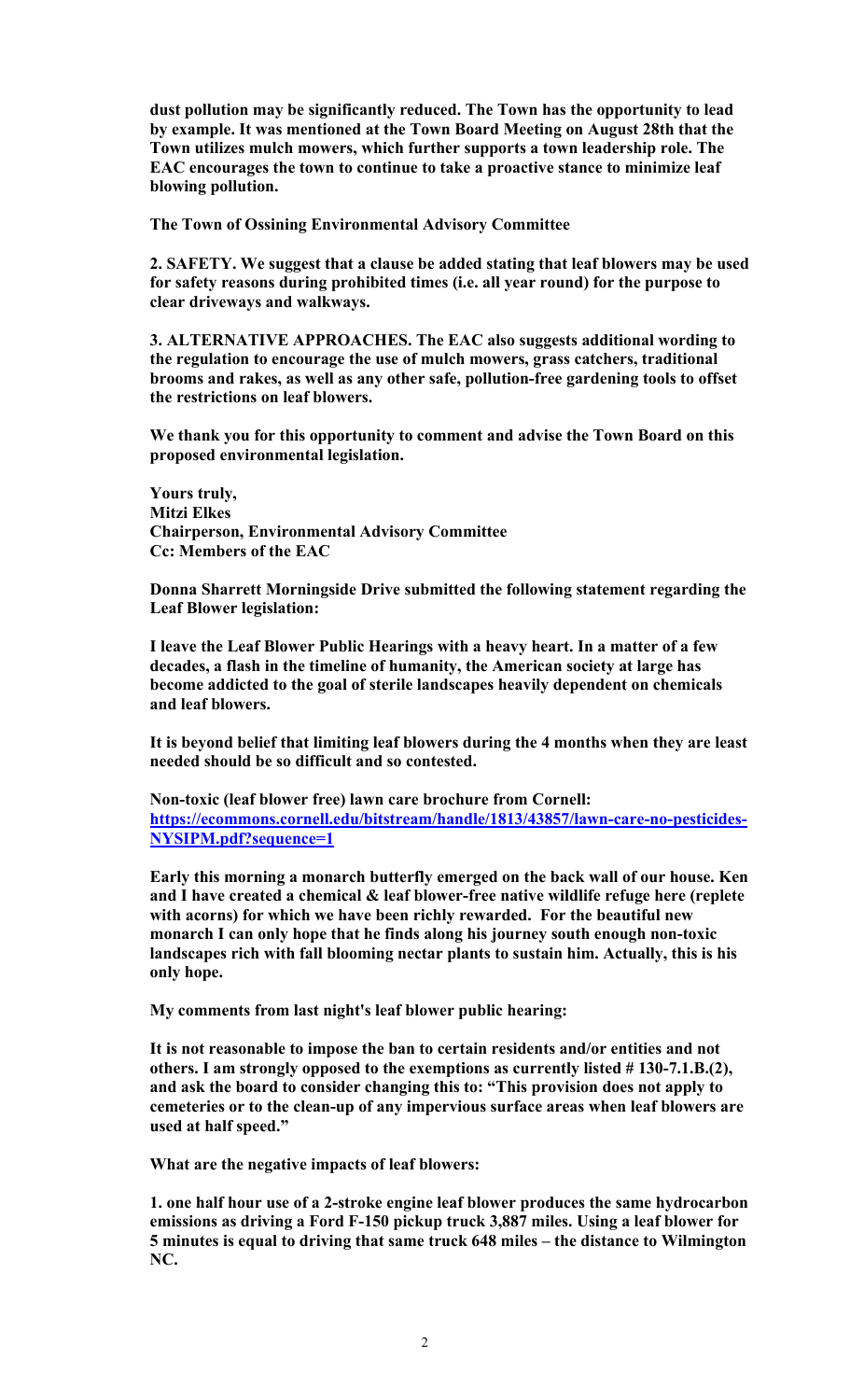**dust pollution may be significantly reduced. The Town has the opportunity to lead by example. It was mentioned at the Town Board Meeting on August 28th that the Town utilizes mulch mowers, which further supports a town leadership role. The EAC encourages the town to continue to take a proactive stance to minimize leaf blowing pollution.** 

**The Town of Ossining Environmental Advisory Committee** 

**2. SAFETY. We suggest that a clause be added stating that leaf blowers may be used for safety reasons during prohibited times (i.e. all year round) for the purpose to clear driveways and walkways.** 

**3. ALTERNATIVE APPROACHES. The EAC also suggests additional wording to the regulation to encourage the use of mulch mowers, grass catchers, traditional brooms and rakes, as well as any other safe, pollution-free gardening tools to offset the restrictions on leaf blowers.** 

**We thank you for this opportunity to comment and advise the Town Board on this proposed environmental legislation.** 

**Yours truly, Mitzi Elkes Chairperson, Environmental Advisory Committee Cc: Members of the EAC** 

**Donna Sharrett Morningside Drive submitted the following statement regarding the Leaf Blower legislation:** 

**I leave the Leaf Blower Public Hearings with a heavy heart. In a matter of a few decades, a flash in the timeline of humanity, the American society at large has become addicted to the goal of sterile landscapes heavily dependent on chemicals and leaf blowers.** 

**It is beyond belief that limiting leaf blowers during the 4 months when they are least needed should be so difficult and so contested.** 

**Non-toxic (leaf blower free) lawn care brochure from Cornell: https://ecommons.cornell.edu/bitstream/handle/1813/43857/lawn-care-no-pesticides-NYSIPM.pdf?sequence=1** 

**Early this morning a monarch butterfly emerged on the back wall of our house. Ken and I have created a chemical & leaf blower-free native wildlife refuge here (replete with acorns) for which we have been richly rewarded. For the beautiful new monarch I can only hope that he finds along his journey south enough non-toxic landscapes rich with fall blooming nectar plants to sustain him. Actually, this is his only hope.** 

**My comments from last night's leaf blower public hearing:** 

**It is not reasonable to impose the ban to certain residents and/or entities and not others. I am strongly opposed to the exemptions as currently listed # 130-7.1.B.(2), and ask the board to consider changing this to: "This provision does not apply to cemeteries or to the clean-up of any impervious surface areas when leaf blowers are used at half speed."** 

**What are the negative impacts of leaf blowers:** 

**1. one half hour use of a 2-stroke engine leaf blower produces the same hydrocarbon emissions as driving a Ford F-150 pickup truck 3,887 miles. Using a leaf blower for 5 minutes is equal to driving that same truck 648 miles – the distance to Wilmington NC.**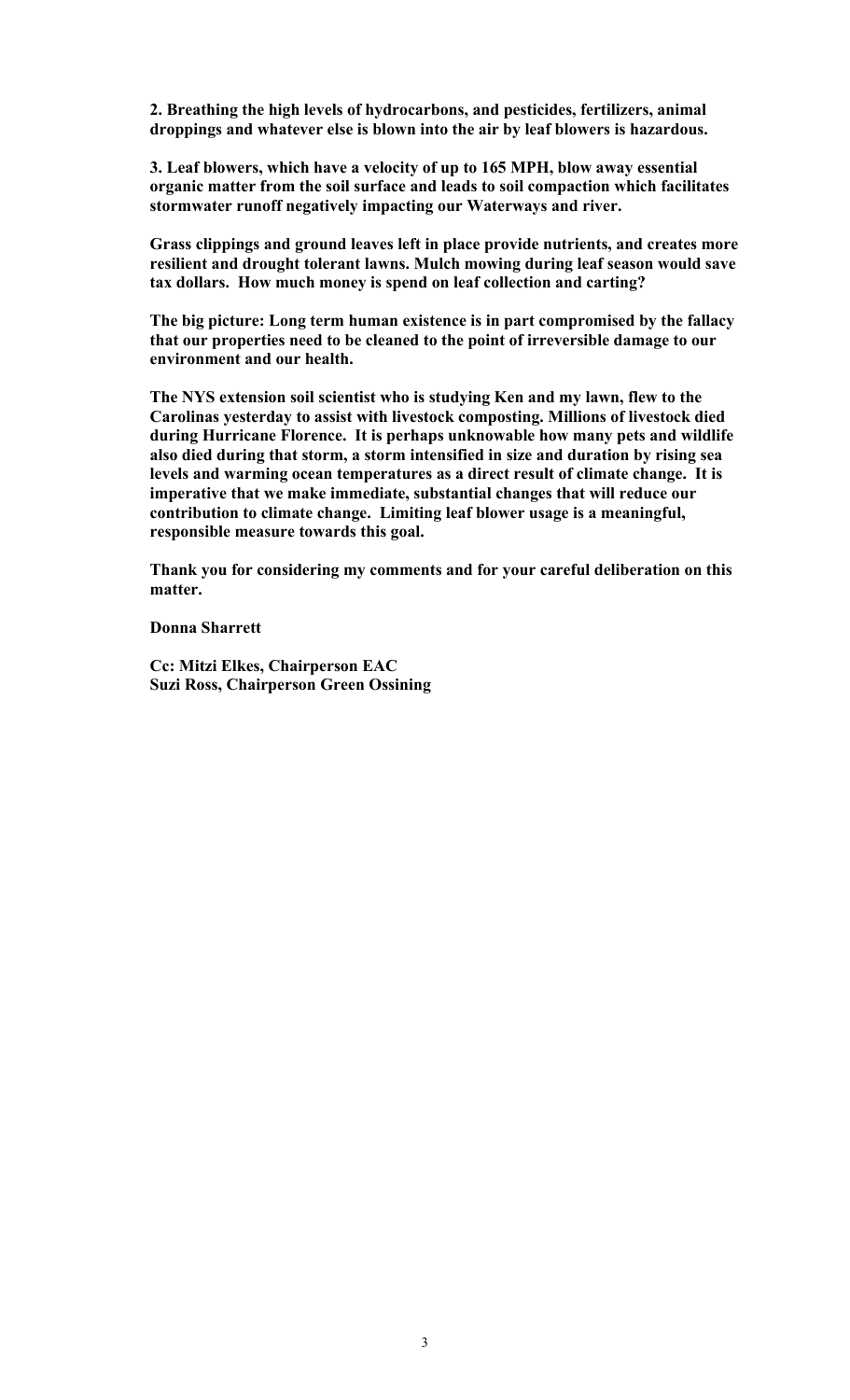**2. Breathing the high levels of hydrocarbons, and pesticides, fertilizers, animal droppings and whatever else is blown into the air by leaf blowers is hazardous.** 

**3. Leaf blowers, which have a velocity of up to 165 MPH, blow away essential organic matter from the soil surface and leads to soil compaction which facilitates stormwater runoff negatively impacting our Waterways and river.** 

**Grass clippings and ground leaves left in place provide nutrients, and creates more resilient and drought tolerant lawns. Mulch mowing during leaf season would save tax dollars. How much money is spend on leaf collection and carting?** 

**The big picture: Long term human existence is in part compromised by the fallacy that our properties need to be cleaned to the point of irreversible damage to our environment and our health.** 

**The NYS extension soil scientist who is studying Ken and my lawn, flew to the Carolinas yesterday to assist with livestock composting. Millions of livestock died during Hurricane Florence. It is perhaps unknowable how many pets and wildlife also died during that storm, a storm intensified in size and duration by rising sea levels and warming ocean temperatures as a direct result of climate change. It is imperative that we make immediate, substantial changes that will reduce our contribution to climate change. Limiting leaf blower usage is a meaningful, responsible measure towards this goal.** 

**Thank you for considering my comments and for your careful deliberation on this matter.** 

**Donna Sharrett** 

**Cc: Mitzi Elkes, Chairperson EAC Suzi Ross, Chairperson Green Ossining**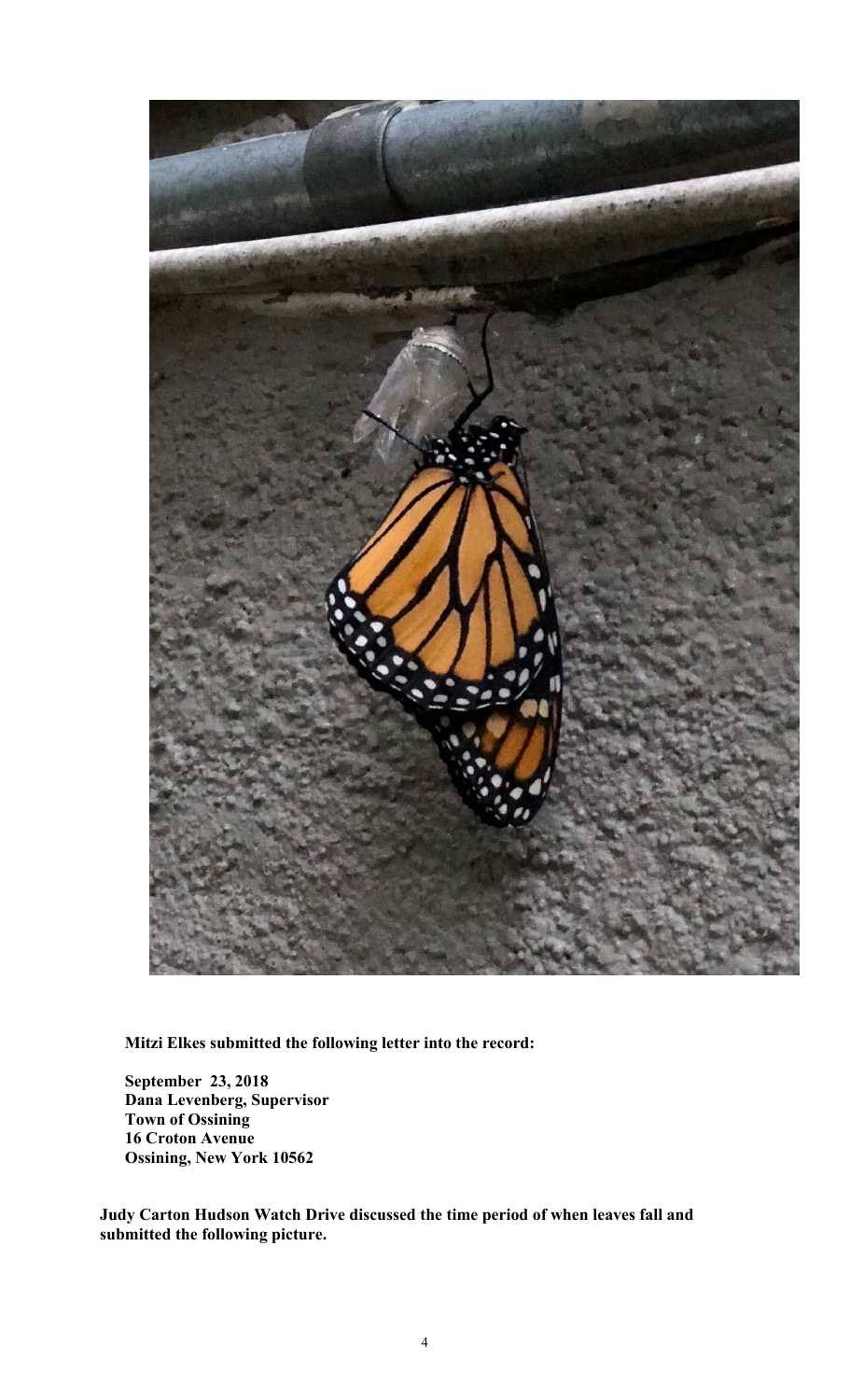

**Mitzi Elkes submitted the following letter into the record:** 

**September 23, 2018 Dana Levenberg, Supervisor Town of Ossining 16 Croton Avenue Ossining, New York 10562** 

**Judy Carton Hudson Watch Drive discussed the time period of when leaves fall and submitted the following picture.**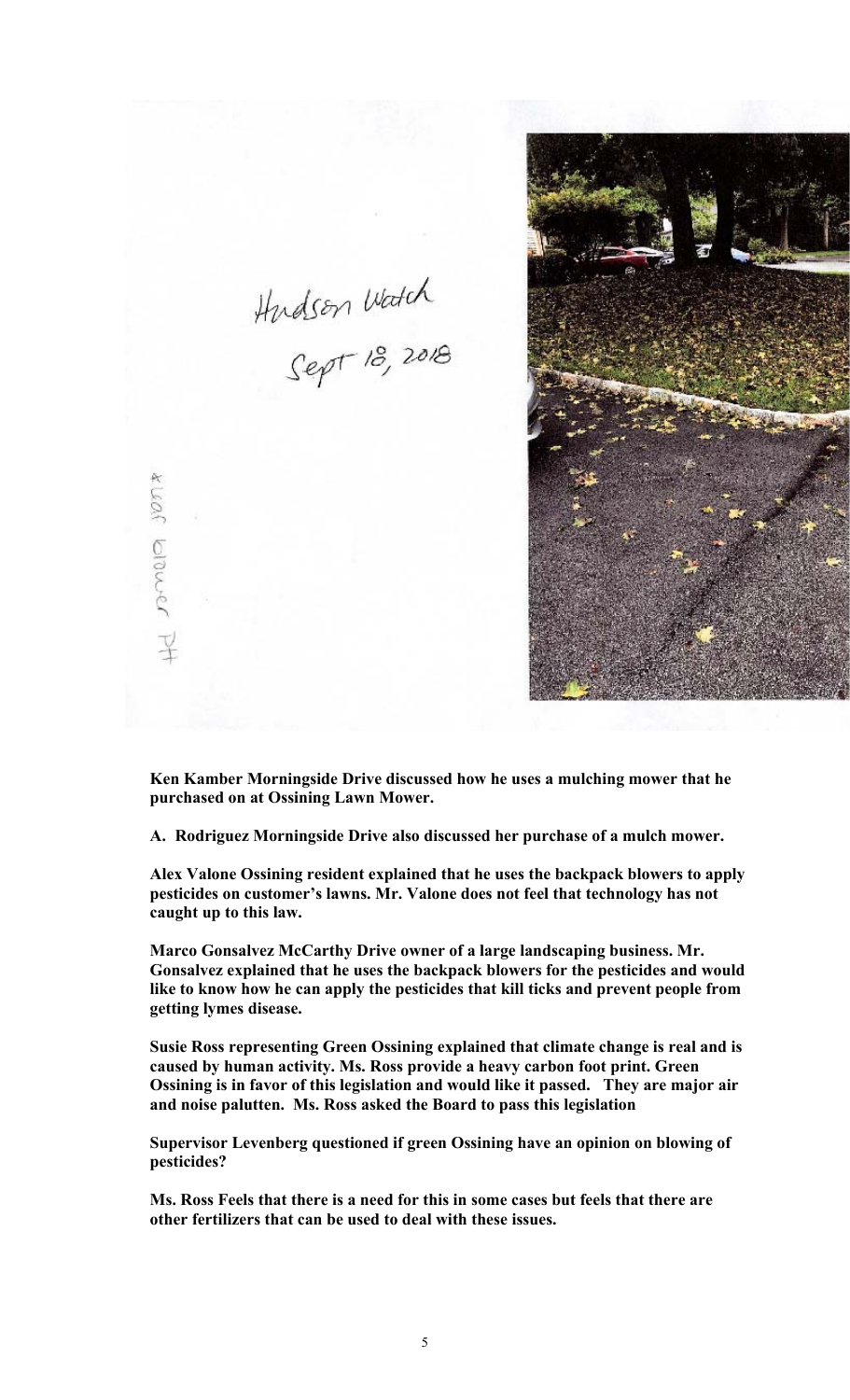

**Ken Kamber Morningside Drive discussed how he uses a mulching mower that he purchased on at Ossining Lawn Mower.** 

Hudson Watch<br>Sept 18, 2018

pamelo sont

**A. Rodriguez Morningside Drive also discussed her purchase of a mulch mower.** 

**Alex Valone Ossining resident explained that he uses the backpack blowers to apply pesticides on customer's lawns. Mr. Valone does not feel that technology has not caught up to this law.** 

**Marco Gonsalvez McCarthy Drive owner of a large landscaping business. Mr. Gonsalvez explained that he uses the backpack blowers for the pesticides and would like to know how he can apply the pesticides that kill ticks and prevent people from getting lymes disease.** 

**Susie Ross representing Green Ossining explained that climate change is real and is caused by human activity. Ms. Ross provide a heavy carbon foot print. Green Ossining is in favor of this legislation and would like it passed. They are major air and noise palutten. Ms. Ross asked the Board to pass this legislation** 

**Supervisor Levenberg questioned if green Ossining have an opinion on blowing of pesticides?** 

**Ms. Ross Feels that there is a need for this in some cases but feels that there are other fertilizers that can be used to deal with these issues.**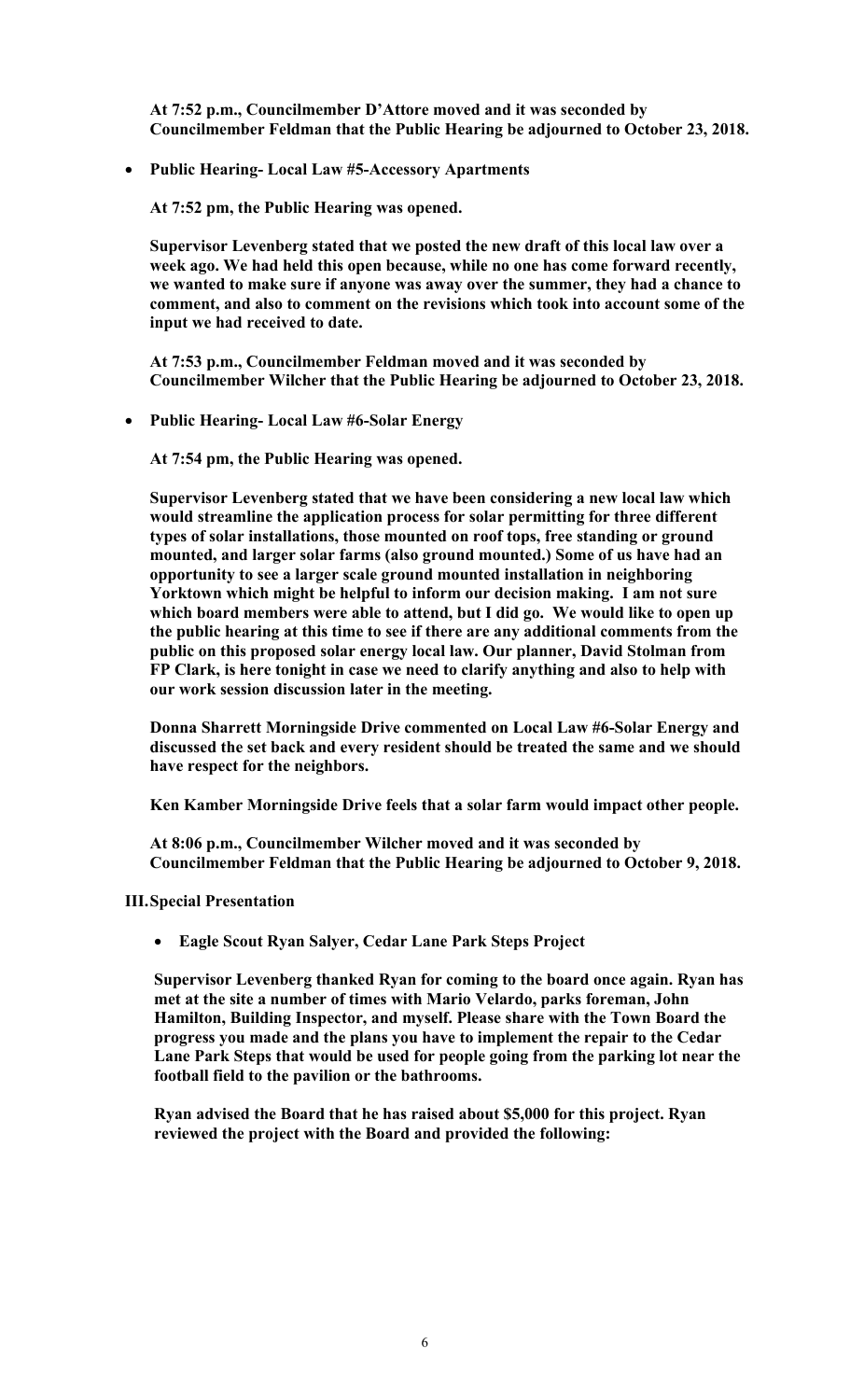**At 7:52 p.m., Councilmember D'Attore moved and it was seconded by Councilmember Feldman that the Public Hearing be adjourned to October 23, 2018.** 

**Public Hearing- Local Law #5-Accessory Apartments** 

**At 7:52 pm, the Public Hearing was opened.** 

**Supervisor Levenberg stated that we posted the new draft of this local law over a week ago. We had held this open because, while no one has come forward recently, we wanted to make sure if anyone was away over the summer, they had a chance to comment, and also to comment on the revisions which took into account some of the input we had received to date.** 

**At 7:53 p.m., Councilmember Feldman moved and it was seconded by Councilmember Wilcher that the Public Hearing be adjourned to October 23, 2018.** 

**Public Hearing- Local Law #6-Solar Energy** 

**At 7:54 pm, the Public Hearing was opened.** 

**Supervisor Levenberg stated that we have been considering a new local law which would streamline the application process for solar permitting for three different types of solar installations, those mounted on roof tops, free standing or ground mounted, and larger solar farms (also ground mounted.) Some of us have had an opportunity to see a larger scale ground mounted installation in neighboring Yorktown which might be helpful to inform our decision making. I am not sure which board members were able to attend, but I did go. We would like to open up the public hearing at this time to see if there are any additional comments from the public on this proposed solar energy local law. Our planner, David Stolman from FP Clark, is here tonight in case we need to clarify anything and also to help with our work session discussion later in the meeting.** 

**Donna Sharrett Morningside Drive commented on Local Law #6-Solar Energy and discussed the set back and every resident should be treated the same and we should have respect for the neighbors.** 

**Ken Kamber Morningside Drive feels that a solar farm would impact other people.** 

**At 8:06 p.m., Councilmember Wilcher moved and it was seconded by Councilmember Feldman that the Public Hearing be adjourned to October 9, 2018.** 

**III.Special Presentation** 

**Eagle Scout Ryan Salyer, Cedar Lane Park Steps Project** 

**Supervisor Levenberg thanked Ryan for coming to the board once again. Ryan has met at the site a number of times with Mario Velardo, parks foreman, John Hamilton, Building Inspector, and myself. Please share with the Town Board the progress you made and the plans you have to implement the repair to the Cedar Lane Park Steps that would be used for people going from the parking lot near the football field to the pavilion or the bathrooms.** 

**Ryan advised the Board that he has raised about \$5,000 for this project. Ryan reviewed the project with the Board and provided the following:**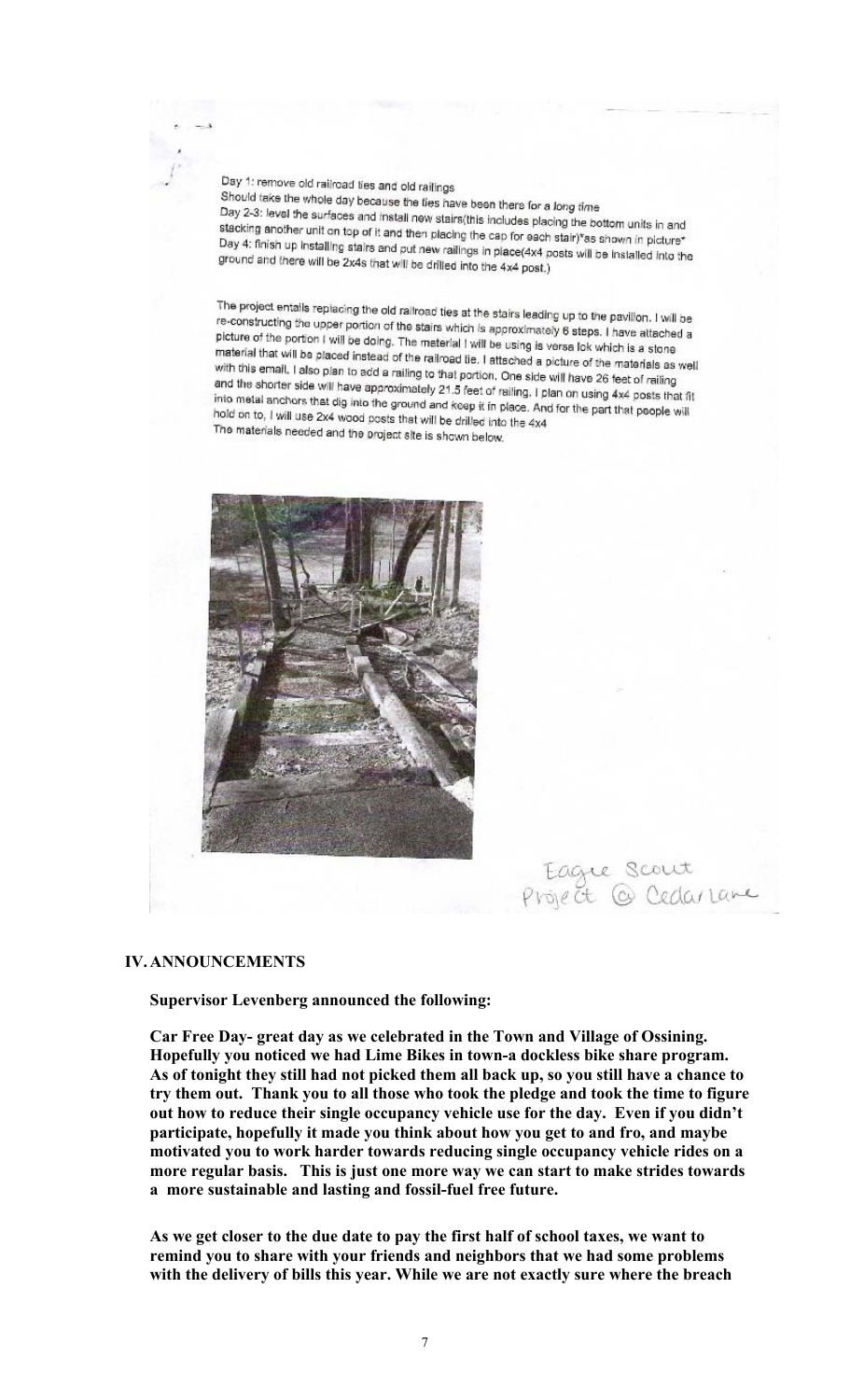Day 1: remove old railroad ties and old railings Should take the whole day because the ties have been there for a long time<br>Day 2-3: level the surfaces and install council is work there for a long time Day 2-3: level the surfaces and install new stairs (this includes placing time<br>stacking another unit on top of it and then electronic includes placing the bottom units in and stacking another unit on top of it and then placing the cap for each stair)\*as shown in picture\*<br>Day 4: finish up installing stairs and mit power!" Day 4: finish up installing stairs and put new railings in place(4x4 posts will be installed into the<br>ground and there will be 2x4s that will be drilled into the 4x4 dosts will be installed into the ground and there will be 2x4s that will be drilled into the 4x4 post.)

The project entails replacing the old railroad ties at the stairs leading up to the pavillon. I will be<br>re-constructing the upper portion of the stairs which is approximately to the pavillon. I will be re-constructing the upper portion of the stairs which is approximately 6 steps. I have attached a<br>picture of the portion is which is approximately 6 steps. I have attached a picture of the portion I will be doing. The material I will be using is versa lok which is a stone<br>material that will be olaced instead of the miterial I will be using is versa lok which is a stone material that will be placed instead of the railroad lie. I attached a picture of the materials as well<br>with this email. I also plan to add a railroad tie. I attached a picture of the materials as well with this email. I also plan to add a railing to that portion, One side will have 26 feet of railing<br>and the shorter side will have approximately 24.5 feet of railing and the shorter side will have approximately 21.5 feet of railing. I plan on using 4x4 posts that fit<br>into metal anchors that dig into the ground and keep it is also a digital on using 4x4 posts that fit into metal anchors that dig into the ground and keep it in place. And for the part that people will<br>hold on to. I will use 2x4 whod posts that will be diffused in the control on to. I will use 2x4 whod posts that will be d hold on to, I will use 2x4 wood posts that will be drilled into the 4x4 The materials needed and the project site is shown below.



Eagle Scout<br>Project @ Cedarlane

#### **IV.ANNOUNCEMENTS**

**Supervisor Levenberg announced the following:** 

**Car Free Day- great day as we celebrated in the Town and Village of Ossining. Hopefully you noticed we had Lime Bikes in town-a dockless bike share program. As of tonight they still had not picked them all back up, so you still have a chance to try them out. Thank you to all those who took the pledge and took the time to figure out how to reduce their single occupancy vehicle use for the day. Even if you didn't participate, hopefully it made you think about how you get to and fro, and maybe motivated you to work harder towards reducing single occupancy vehicle rides on a more regular basis. This is just one more way we can start to make strides towards a more sustainable and lasting and fossil-fuel free future.** 

**As we get closer to the due date to pay the first half of school taxes, we want to remind you to share with your friends and neighbors that we had some problems with the delivery of bills this year. While we are not exactly sure where the breach**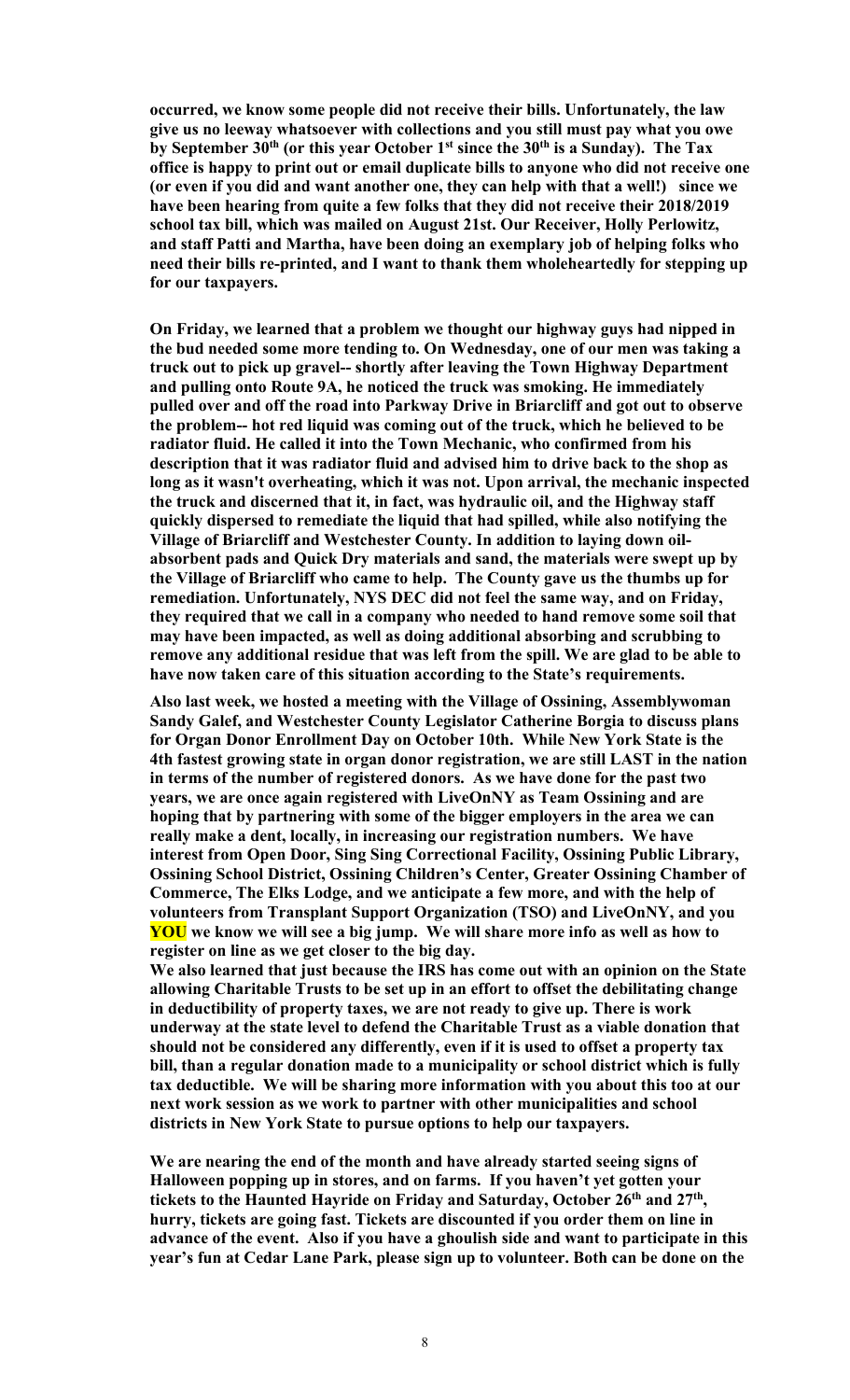**occurred, we know some people did not receive their bills. Unfortunately, the law give us no leeway whatsoever with collections and you still must pay what you owe by September 30th (or this year October 1st since the 30th is a Sunday). The Tax office is happy to print out or email duplicate bills to anyone who did not receive one (or even if you did and want another one, they can help with that a well!) since we have been hearing from quite a few folks that they did not receive their 2018/2019 school tax bill, which was mailed on August 21st. Our Receiver, Holly Perlowitz, and staff Patti and Martha, have been doing an exemplary job of helping folks who need their bills re-printed, and I want to thank them wholeheartedly for stepping up for our taxpayers.**

**On Friday, we learned that a problem we thought our highway guys had nipped in the bud needed some more tending to. On Wednesday, one of our men was taking a truck out to pick up gravel-- shortly after leaving the Town Highway Department and pulling onto Route 9A, he noticed the truck was smoking. He immediately pulled over and off the road into Parkway Drive in Briarcliff and got out to observe the problem-- hot red liquid was coming out of the truck, which he believed to be radiator fluid. He called it into the Town Mechanic, who confirmed from his description that it was radiator fluid and advised him to drive back to the shop as long as it wasn't overheating, which it was not. Upon arrival, the mechanic inspected the truck and discerned that it, in fact, was hydraulic oil, and the Highway staff quickly dispersed to remediate the liquid that had spilled, while also notifying the Village of Briarcliff and Westchester County. In addition to laying down oilabsorbent pads and Quick Dry materials and sand, the materials were swept up by the Village of Briarcliff who came to help. The County gave us the thumbs up for remediation. Unfortunately, NYS DEC did not feel the same way, and on Friday, they required that we call in a company who needed to hand remove some soil that may have been impacted, as well as doing additional absorbing and scrubbing to remove any additional residue that was left from the spill. We are glad to be able to have now taken care of this situation according to the State's requirements.**

**Also last week, we hosted a meeting with the Village of Ossining, Assemblywoman Sandy Galef, and Westchester County Legislator Catherine Borgia to discuss plans for Organ Donor Enrollment Day on October 10th. While New York State is the 4th fastest growing state in organ donor registration, we are still LAST in the nation in terms of the number of registered donors. As we have done for the past two years, we are once again registered with LiveOnNY as Team Ossining and are hoping that by partnering with some of the bigger employers in the area we can really make a dent, locally, in increasing our registration numbers. We have interest from Open Door, Sing Sing Correctional Facility, Ossining Public Library, Ossining School District, Ossining Children's Center, Greater Ossining Chamber of Commerce, The Elks Lodge, and we anticipate a few more, and with the help of volunteers from Transplant Support Organization (TSO) and LiveOnNY, and you YOU we know we will see a big jump. We will share more info as well as how to register on line as we get closer to the big day.**

**We also learned that just because the IRS has come out with an opinion on the State allowing Charitable Trusts to be set up in an effort to offset the debilitating change in deductibility of property taxes, we are not ready to give up. There is work underway at the state level to defend the Charitable Trust as a viable donation that should not be considered any differently, even if it is used to offset a property tax bill, than a regular donation made to a municipality or school district which is fully tax deductible. We will be sharing more information with you about this too at our next work session as we work to partner with other municipalities and school districts in New York State to pursue options to help our taxpayers.** 

**We are nearing the end of the month and have already started seeing signs of Halloween popping up in stores, and on farms. If you haven't yet gotten your tickets to the Haunted Hayride on Friday and Saturday, October 26th and 27th, hurry, tickets are going fast. Tickets are discounted if you order them on line in advance of the event. Also if you have a ghoulish side and want to participate in this year's fun at Cedar Lane Park, please sign up to volunteer. Both can be done on the**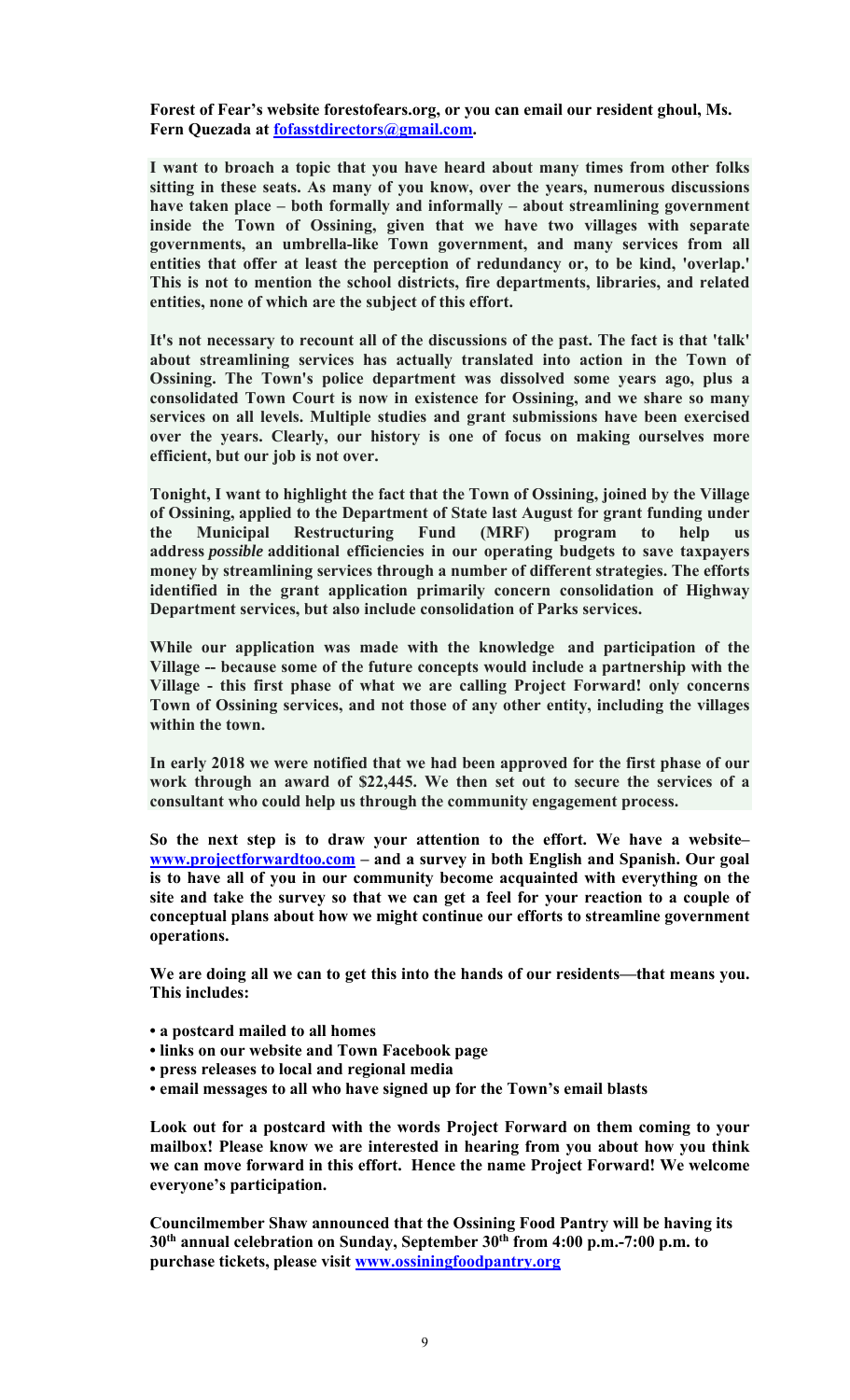**Forest of Fear's website forestofears.org, or you can email our resident ghoul, Ms. Fern Quezada at fofasstdirectors@gmail.com.** 

**I want to broach a topic that you have heard about many times from other folks sitting in these seats. As many of you know, over the years, numerous discussions have taken place – both formally and informally – about streamlining government inside the Town of Ossining, given that we have two villages with separate governments, an umbrella-like Town government, and many services from all entities that offer at least the perception of redundancy or, to be kind, 'overlap.' This is not to mention the school districts, fire departments, libraries, and related entities, none of which are the subject of this effort.** 

**It's not necessary to recount all of the discussions of the past. The fact is that 'talk' about streamlining services has actually translated into action in the Town of Ossining. The Town's police department was dissolved some years ago, plus a consolidated Town Court is now in existence for Ossining, and we share so many services on all levels. Multiple studies and grant submissions have been exercised over the years. Clearly, our history is one of focus on making ourselves more efficient, but our job is not over.** 

**Tonight, I want to highlight the fact that the Town of Ossining, joined by the Village of Ossining, applied to the Department of State last August for grant funding under the Municipal Restructuring Fund (MRF) program to help us address** *possible* **additional efficiencies in our operating budgets to save taxpayers money by streamlining services through a number of different strategies. The efforts identified in the grant application primarily concern consolidation of Highway Department services, but also include consolidation of Parks services.** 

**While our application was made with the knowledge and participation of the Village -- because some of the future concepts would include a partnership with the Village - this first phase of what we are calling Project Forward! only concerns Town of Ossining services, and not those of any other entity, including the villages within the town.** 

**In early 2018 we were notified that we had been approved for the first phase of our work through an award of \$22,445. We then set out to secure the services of a consultant who could help us through the community engagement process.** 

**So the next step is to draw your attention to the effort. We have a website– www.projectforwardtoo.com – and a survey in both English and Spanish. Our goal is to have all of you in our community become acquainted with everything on the site and take the survey so that we can get a feel for your reaction to a couple of conceptual plans about how we might continue our efforts to streamline government operations.** 

**We are doing all we can to get this into the hands of our residents—that means you. This includes:** 

- **a postcard mailed to all homes**
- **links on our website and Town Facebook page**
- **press releases to local and regional media**
- **email messages to all who have signed up for the Town's email blasts**

**Look out for a postcard with the words Project Forward on them coming to your mailbox! Please know we are interested in hearing from you about how you think we can move forward in this effort. Hence the name Project Forward! We welcome everyone's participation.** 

**Councilmember Shaw announced that the Ossining Food Pantry will be having its 30th annual celebration on Sunday, September 30th from 4:00 p.m.-7:00 p.m. to purchase tickets, please visit www.ossiningfoodpantry.org**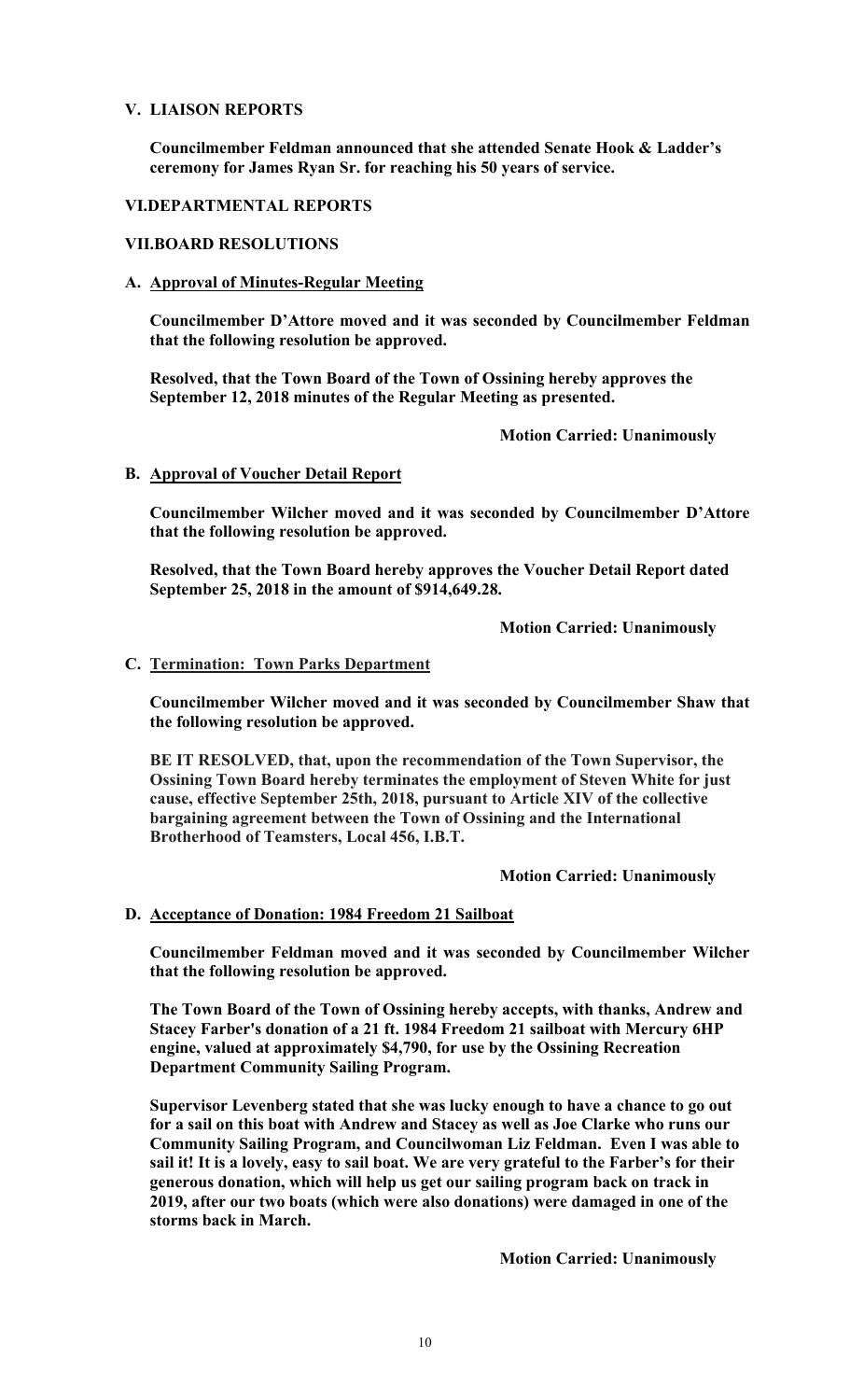### **V. LIAISON REPORTS**

**Councilmember Feldman announced that she attended Senate Hook & Ladder's ceremony for James Ryan Sr. for reaching his 50 years of service.** 

### **VI.DEPARTMENTAL REPORTS**

### **VII.BOARD RESOLUTIONS**

# **A. Approval of Minutes-Regular Meeting**

**Councilmember D'Attore moved and it was seconded by Councilmember Feldman that the following resolution be approved.** 

**Resolved, that the Town Board of the Town of Ossining hereby approves the September 12, 2018 minutes of the Regular Meeting as presented.**

 **Motion Carried: Unanimously** 

# **B. Approval of Voucher Detail Report**

**Councilmember Wilcher moved and it was seconded by Councilmember D'Attore that the following resolution be approved.** 

**Resolved, that the Town Board hereby approves the Voucher Detail Report dated September 25, 2018 in the amount of \$914,649.28.** 

 **Motion Carried: Unanimously** 

# **C. Termination: Town Parks Department**

**Councilmember Wilcher moved and it was seconded by Councilmember Shaw that the following resolution be approved.** 

**BE IT RESOLVED, that, upon the recommendation of the Town Supervisor, the Ossining Town Board hereby terminates the employment of Steven White for just cause, effective September 25th, 2018, pursuant to Article XIV of the collective bargaining agreement between the Town of Ossining and the International Brotherhood of Teamsters, Local 456, I.B.T.** 

 **Motion Carried: Unanimously** 

# **D. Acceptance of Donation: 1984 Freedom 21 Sailboat**

**Councilmember Feldman moved and it was seconded by Councilmember Wilcher that the following resolution be approved.** 

**The Town Board of the Town of Ossining hereby accepts, with thanks, Andrew and Stacey Farber's donation of a 21 ft. 1984 Freedom 21 sailboat with Mercury 6HP engine, valued at approximately \$4,790, for use by the Ossining Recreation Department Community Sailing Program.** 

**Supervisor Levenberg stated that she was lucky enough to have a chance to go out for a sail on this boat with Andrew and Stacey as well as Joe Clarke who runs our Community Sailing Program, and Councilwoman Liz Feldman. Even I was able to sail it! It is a lovely, easy to sail boat. We are very grateful to the Farber's for their generous donation, which will help us get our sailing program back on track in 2019, after our two boats (which were also donations) were damaged in one of the storms back in March.** 

 **Motion Carried: Unanimously**